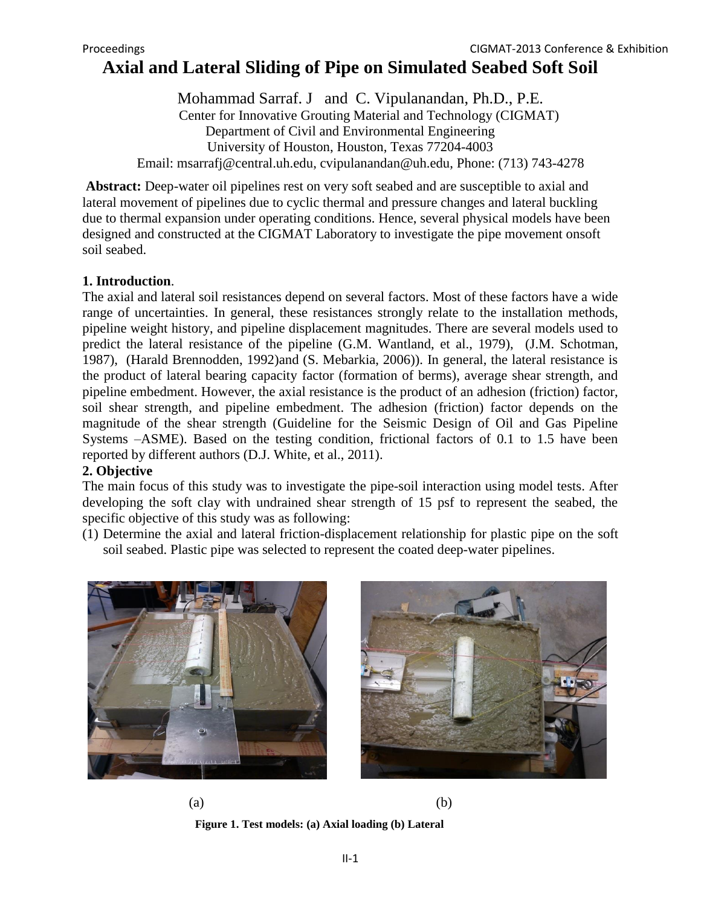# **Axial and Lateral Sliding of Pipe on Simulated Seabed Soft Soil**

Mohammad Sarraf. J and C. Vipulanandan, Ph.D., P.E. Center for Innovative Grouting Material and Technology (CIGMAT) Department of Civil and Environmental Engineering University of Houston, Houston, Texas 77204-4003 Email: msarrafj@central.uh.edu, cvipulanandan@uh.edu, Phone: (713) 743-4278

**Abstract:** Deep-water oil pipelines rest on very soft seabed and are susceptible to axial and lateral movement of pipelines due to cyclic thermal and pressure changes and lateral buckling due to thermal expansion under operating conditions. Hence, several physical models have been designed and constructed at the CIGMAT Laboratory to investigate the pipe movement onsoft soil seabed.

# **1. Introduction**.

The axial and lateral soil resistances depend on several factors. Most of these factors have a wide range of uncertainties. In general, these resistances strongly relate to the installation methods, pipeline weight history, and pipeline displacement magnitudes. There are several models used to predict the lateral resistance of the pipeline (G.M. Wantland, et al., 1979), (J.M. Schotman, 1987), (Harald Brennodden, 1992)and (S. Mebarkia, 2006)). In general, the lateral resistance is the product of lateral bearing capacity factor (formation of berms), average shear strength, and pipeline embedment. However, the axial resistance is the product of an adhesion (friction) factor, soil shear strength, and pipeline embedment. The adhesion (friction) factor depends on the magnitude of the shear strength (Guideline for the Seismic Design of Oil and Gas Pipeline Systems –ASME). Based on the testing condition, frictional factors of 0.1 to 1.5 have been reported by different authors (D.J. White, et al., 2011).

# **2. Objective**

The main focus of this study was to investigate the pipe-soil interaction using model tests. After developing the soft clay with undrained shear strength of 15 psf to represent the seabed, the specific objective of this study was as following:

(1) Determine the axial and lateral friction-displacement relationship for plastic pipe on the soft soil seabed. Plastic pipe was selected to represent the coated deep-water pipelines.





 $(a)$  (b) **Figure 1. Test models: (a) Axial loading (b) Lateral**